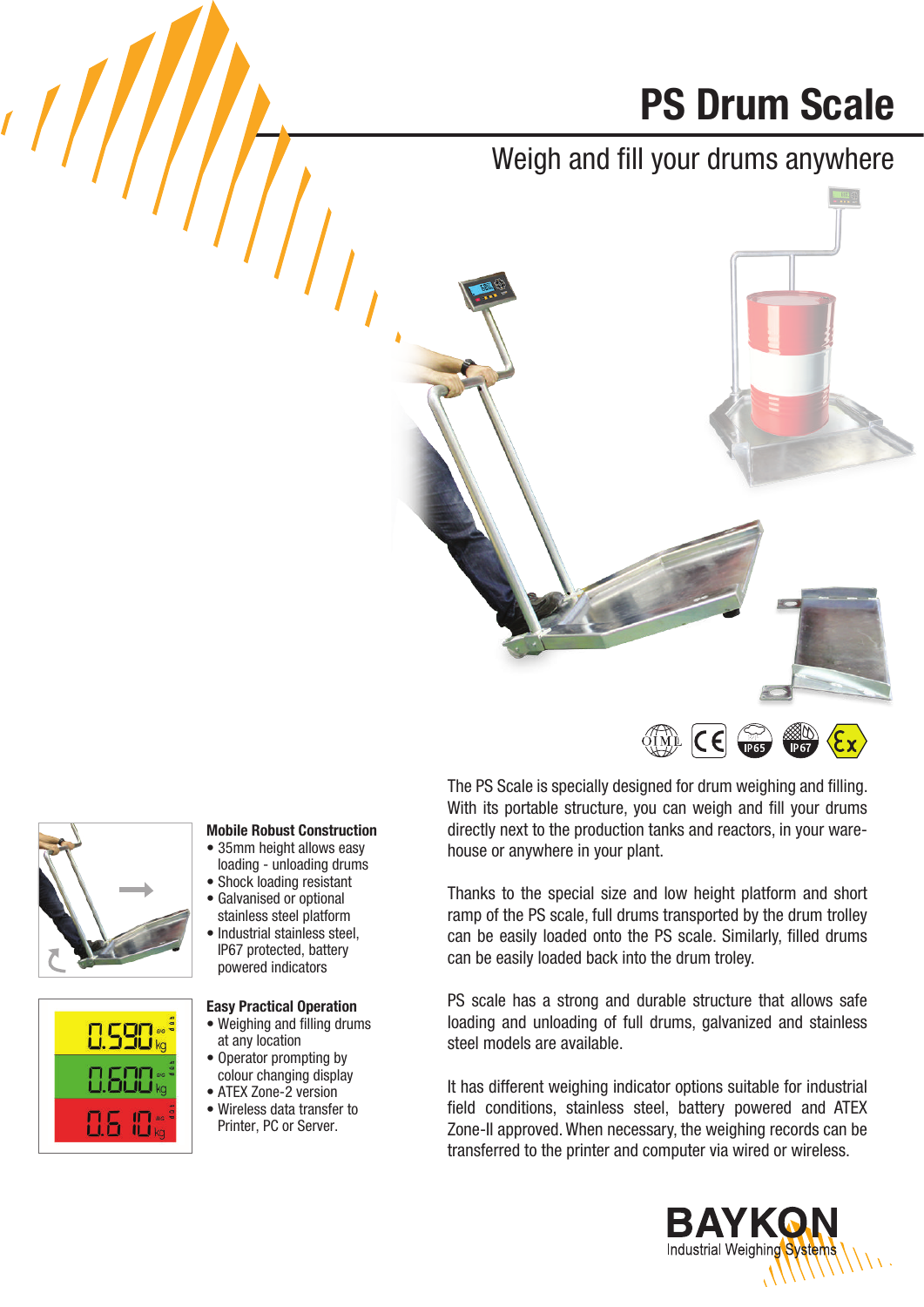# PS Drum Scale

## Weigh and fill your drums anywhere





The PS Scale is specially designed for drum weighing and filling. With its portable structure, you can weigh and fill your drums directly next to the production tanks and reactors, in your warehouse or anywhere in your plant.

Thanks to the special size and low height platform and short ramp of the PS scale, full drums transported by the drum trolley can be easily loaded onto the PS scale. Similarly, filled drums can be easily loaded back into the drum troley.

PS scale has a strong and durable structure that allows safe loading and unloading of full drums, galvanized and stainless steel models are available.

It has different weighing indicator options suitable for industrial field conditions, stainless steel, battery powered and ATEX Zone-II approved. When necessary, the weighing records can be transferred to the printer and computer via wired or wireless.





 $\sqrt{2}$ 

86 O

#### Mobile Robust Construction • 35mm height allows easy

- loading unloading drums • Shock loading resistant
- Galvanised or optional
- stainless steel platform • Industrial stainless steel, IP67 protected, battery powered indicators

### Easy Practical Operation

- Weighing and filling drums at any location
- Operator prompting by colour changing display
- ATEX Zone-2 version
- Wireless data transfer to Printer, PC or Server.